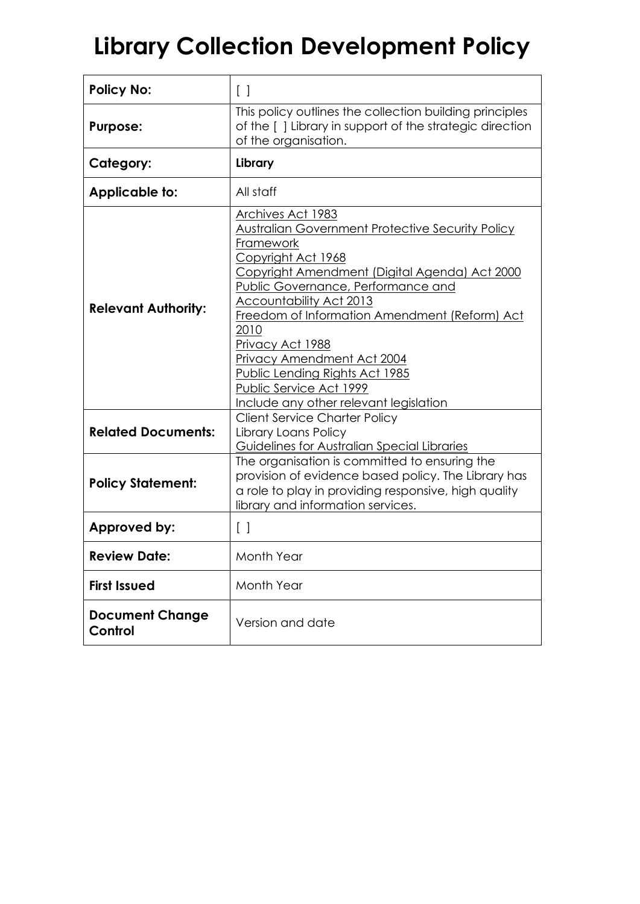# **Library Collection Development Policy**

| <b>Policy No:</b>                 | $[\ ]$                                                                                                                                                                                                                                                                                                                                                                                                                                                                                        |
|-----------------------------------|-----------------------------------------------------------------------------------------------------------------------------------------------------------------------------------------------------------------------------------------------------------------------------------------------------------------------------------------------------------------------------------------------------------------------------------------------------------------------------------------------|
| <b>Purpose:</b>                   | This policy outlines the collection building principles<br>of the [] Library in support of the strategic direction<br>of the organisation.                                                                                                                                                                                                                                                                                                                                                    |
| Category:                         | Library                                                                                                                                                                                                                                                                                                                                                                                                                                                                                       |
| Applicable to:                    | All staff                                                                                                                                                                                                                                                                                                                                                                                                                                                                                     |
| <b>Relevant Authority:</b>        | Archives Act 1983<br><b>Australian Government Protective Security Policy</b><br>Framework<br>Copyright Act 1968<br><u>Copyright Amendment (Digital Agenda) Act 2000</u><br><b>Public Governance, Performance and</b><br><u>Accountability Act 2013</u><br>Freedom of Information Amendment (Reform) Act<br>2010<br><u>Privacy Act 1988</u><br><b>Privacy Amendment Act 2004</b><br><u>Public Lending Rights Act 1985</u><br>Public Service Act 1999<br>Include any other relevant legislation |
| <b>Related Documents:</b>         | <b>Client Service Charter Policy</b><br>Library Loans Policy<br>Guidelines for Australian Special Libraries                                                                                                                                                                                                                                                                                                                                                                                   |
| <b>Policy Statement:</b>          | The organisation is committed to ensuring the<br>provision of evidence based policy. The Library has<br>a role to play in providing responsive, high quality<br>library and information services.                                                                                                                                                                                                                                                                                             |
| Approved by:                      | $\left[ \begin{array}{c} \end{array} \right]$                                                                                                                                                                                                                                                                                                                                                                                                                                                 |
| <b>Review Date:</b>               | Month Year                                                                                                                                                                                                                                                                                                                                                                                                                                                                                    |
| <b>First Issued</b>               | Month Year                                                                                                                                                                                                                                                                                                                                                                                                                                                                                    |
| <b>Document Change</b><br>Control | Version and date                                                                                                                                                                                                                                                                                                                                                                                                                                                                              |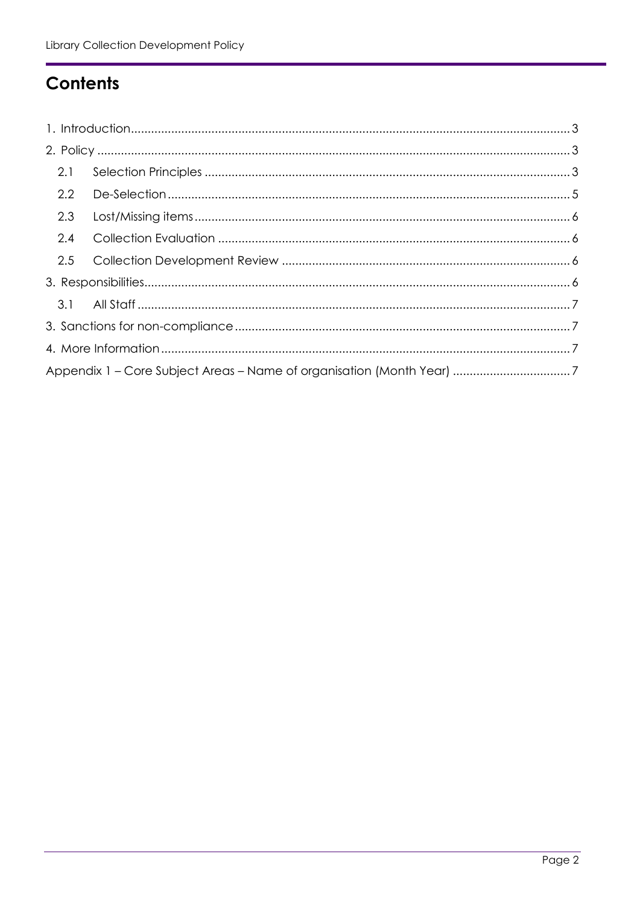## **Contents**

| 2.1              |                                                                       |  |
|------------------|-----------------------------------------------------------------------|--|
| $2.2\phantom{0}$ |                                                                       |  |
| 2.3              |                                                                       |  |
| 2.4              |                                                                       |  |
| 2.5              |                                                                       |  |
|                  |                                                                       |  |
|                  |                                                                       |  |
|                  |                                                                       |  |
|                  |                                                                       |  |
|                  | Appendix 1 - Core Subject Areas - Name of organisation (Month Year) 7 |  |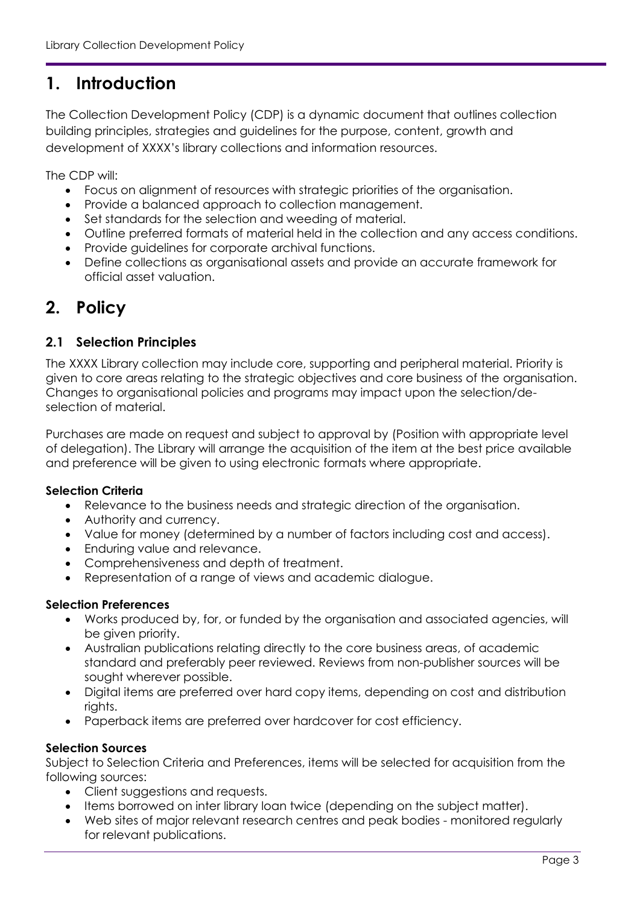## <span id="page-2-0"></span>**1. Introduction**

The Collection Development Policy (CDP) is a dynamic document that outlines collection building principles, strategies and guidelines for the purpose, content, growth and development of XXXX's library collections and information resources.

The CDP will:

- Focus on alignment of resources with strategic priorities of the organisation.
- Provide a balanced approach to collection management.
- Set standards for the selection and weeding of material.
- Outline preferred formats of material held in the collection and any access conditions.
- Provide guidelines for corporate archival functions.
- Define collections as organisational assets and provide an accurate framework for official asset valuation.

## <span id="page-2-1"></span>**2. Policy**

#### <span id="page-2-2"></span>**2.1 Selection Principles**

The XXXX Library collection may include core, supporting and peripheral material. Priority is given to core areas relating to the strategic objectives and core business of the organisation. Changes to organisational policies and programs may impact upon the selection/deselection of material.

Purchases are made on request and subject to approval by (Position with appropriate level of delegation). The Library will arrange the acquisition of the item at the best price available and preference will be given to using electronic formats where appropriate.

#### **Selection Criteria**

- Relevance to the business needs and strategic direction of the organisation.
- Authority and currency.
- Value for money (determined by a number of factors including cost and access).
- Enduring value and relevance.
- Comprehensiveness and depth of treatment.
- Representation of a range of views and academic dialogue.

#### **Selection Preferences**

- Works produced by, for, or funded by the organisation and associated agencies, will be given priority.
- Australian publications relating directly to the core business areas, of academic standard and preferably peer reviewed. Reviews from non-publisher sources will be sought wherever possible.
- Digital items are preferred over hard copy items, depending on cost and distribution rights.
- Paperback items are preferred over hardcover for cost efficiency.

#### **Selection Sources**

Subject to Selection Criteria and Preferences, items will be selected for acquisition from the following sources:

- Client suggestions and requests.
- Items borrowed on inter library loan twice (depending on the subject matter).
- Web sites of major relevant research centres and peak bodies monitored regularly for relevant publications.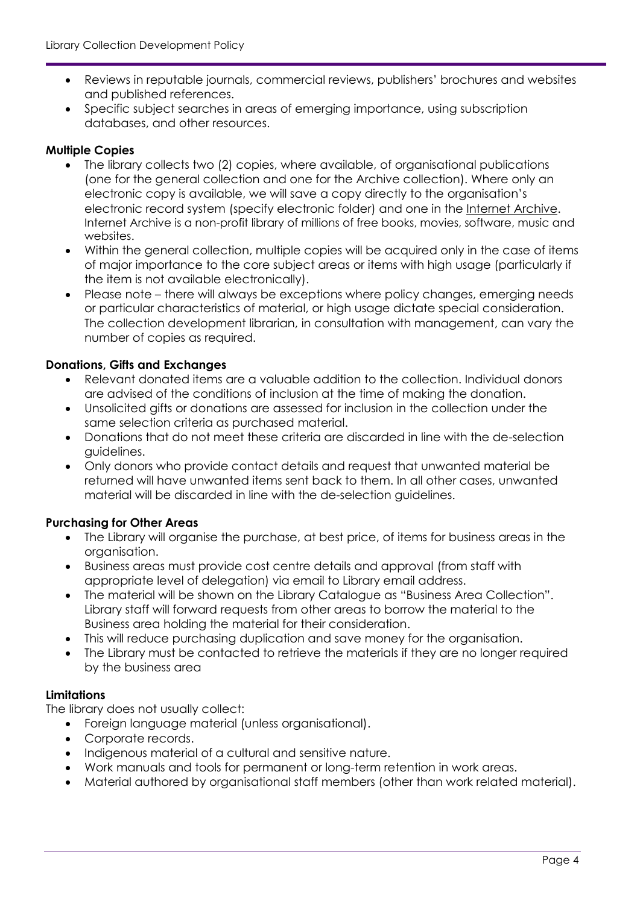- Reviews in reputable journals, commercial reviews, publishers' brochures and websites and published references.
- Specific subject searches in areas of emerging importance, using subscription databases, and other resources.

#### **Multiple Copies**

- The library collects two (2) copies, where available, of organisational publications (one for the general collection and one for the Archive collection). Where only an electronic copy is available, we will save a copy directly to the organisation's electronic record system (specify electronic folder) and one in the [Internet Archive.](https://archive.org/) Internet Archive is a non-profit library of millions of free books, movies, software, music and websites.
- Within the general collection, multiple copies will be acquired only in the case of items of major importance to the core subject areas or items with high usage (particularly if the item is not available electronically).
- Please note there will always be exceptions where policy changes, emerging needs or particular characteristics of material, or high usage dictate special consideration. The collection development librarian, in consultation with management, can vary the number of copies as required.

#### **Donations, Gifts and Exchanges**

- Relevant donated items are a valuable addition to the collection. Individual donors are advised of the conditions of inclusion at the time of making the donation.
- Unsolicited gifts or donations are assessed for inclusion in the collection under the same selection criteria as purchased material.
- Donations that do not meet these criteria are discarded in line with the de-selection guidelines.
- Only donors who provide contact details and request that unwanted material be returned will have unwanted items sent back to them. In all other cases, unwanted material will be discarded in line with the de-selection guidelines.

#### **Purchasing for Other Areas**

- The Library will organise the purchase, at best price, of items for business areas in the organisation.
- Business areas must provide cost centre details and approval (from staff with appropriate level of delegation) via email to Library email address.
- The material will be shown on the Library Catalogue as "Business Area Collection". Library staff will forward requests from other areas to borrow the material to the Business area holding the material for their consideration.
- This will reduce purchasing duplication and save money for the organisation.
- The Library must be contacted to retrieve the materials if they are no longer required by the business area

#### **Limitations**

The library does not usually collect:

- Foreign language material (unless organisational).
- Corporate records.
- Indigenous material of a cultural and sensitive nature.
- Work manuals and tools for permanent or long-term retention in work areas.
- Material authored by organisational staff members (other than work related material).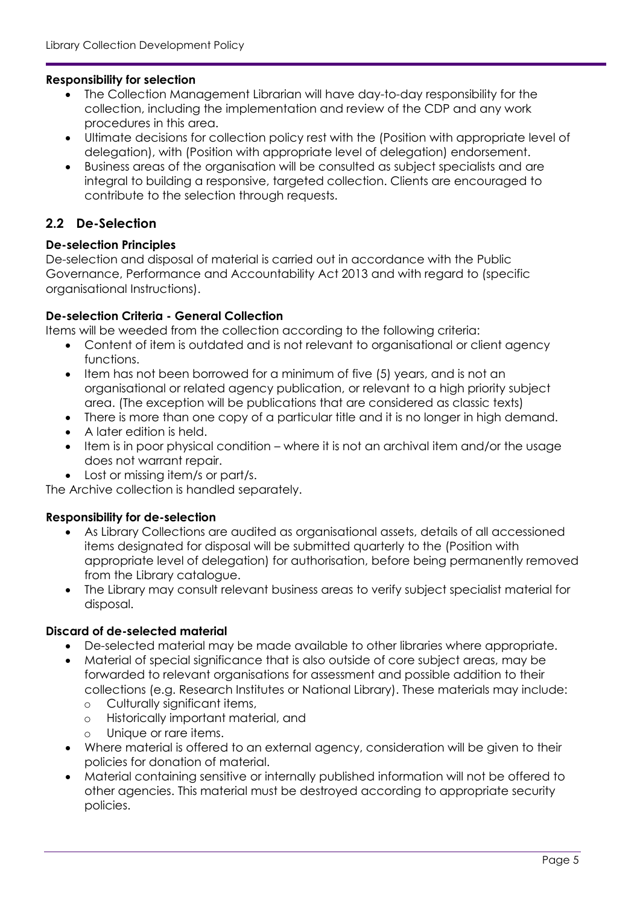#### **Responsibility for selection**

- The Collection Management Librarian will have day-to-day responsibility for the collection, including the implementation and review of the CDP and any work procedures in this area.
- Ultimate decisions for collection policy rest with the (Position with appropriate level of delegation), with (Position with appropriate level of delegation) endorsement.
- Business areas of the organisation will be consulted as subject specialists and are integral to building a responsive, targeted collection. Clients are encouraged to contribute to the selection through requests.

#### <span id="page-4-0"></span>**2.2 De-Selection**

#### **De-selection Principles**

De-selection and disposal of material is carried out in accordance with the Public Governance, Performance and Accountability Act 2013 and with regard to (specific organisational Instructions).

#### **De-selection Criteria - General Collection**

Items will be weeded from the collection according to the following criteria:

- Content of item is outdated and is not relevant to organisational or client agency functions.
- Item has not been borrowed for a minimum of five (5) years, and is not an organisational or related agency publication, or relevant to a high priority subject area. (The exception will be publications that are considered as classic texts)
- There is more than one copy of a particular title and it is no longer in high demand.
- A later edition is held.
- Item is in poor physical condition where it is not an archival item and/or the usage does not warrant repair.
- Lost or missing item/s or part/s.

The Archive collection is handled separately.

#### **Responsibility for de-selection**

- As Library Collections are audited as organisational assets, details of all accessioned items designated for disposal will be submitted quarterly to the (Position with appropriate level of delegation) for authorisation, before being permanently removed from the Library catalogue.
- The Library may consult relevant business areas to verify subject specialist material for disposal.

#### **Discard of de-selected material**

- De-selected material may be made available to other libraries where appropriate.
- Material of special significance that is also outside of core subject areas, may be forwarded to relevant organisations for assessment and possible addition to their collections (e.g. Research Institutes or National Library). These materials may include:
	- o Culturally significant items,
	- o Historically important material, and
	- o Unique or rare items.
- Where material is offered to an external agency, consideration will be given to their policies for donation of material.
- Material containing sensitive or internally published information will not be offered to other agencies. This material must be destroyed according to appropriate security policies.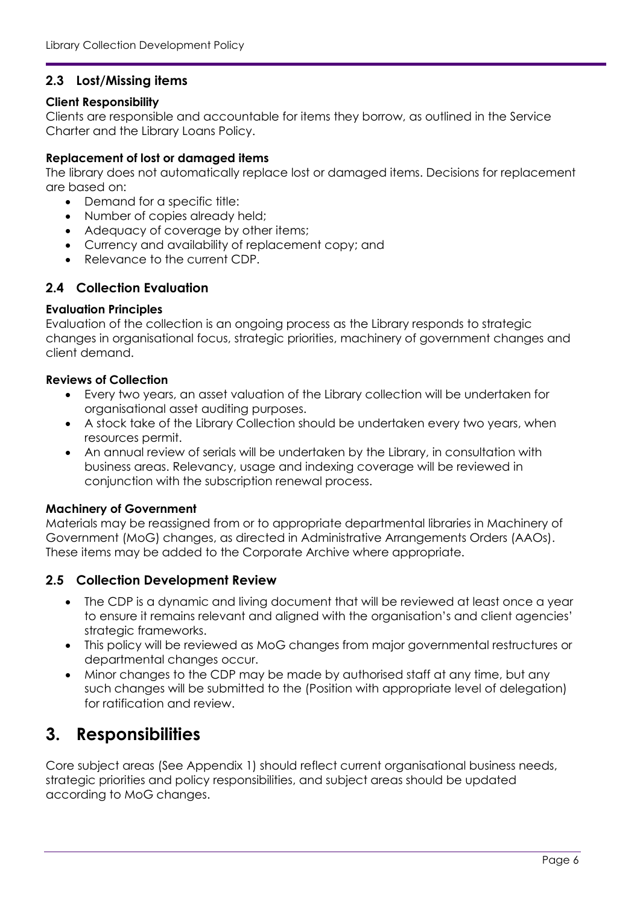#### <span id="page-5-0"></span>**2.3 Lost/Missing items**

#### **Client Responsibility**

Clients are responsible and accountable for items they borrow, as outlined in the Service Charter and the Library Loans Policy.

#### **Replacement of lost or damaged items**

The library does not automatically replace lost or damaged items. Decisions for replacement are based on:

- Demand for a specific title:
- Number of copies already held;
- Adequacy of coverage by other items;
- Currency and availability of replacement copy; and
- Relevance to the current CDP.

#### <span id="page-5-1"></span>**2.4 Collection Evaluation**

#### **Evaluation Principles**

Evaluation of the collection is an ongoing process as the Library responds to strategic changes in organisational focus, strategic priorities, machinery of government changes and client demand.

#### **Reviews of Collection**

- Every two years, an asset valuation of the Library collection will be undertaken for organisational asset auditing purposes.
- A stock take of the Library Collection should be undertaken every two years, when resources permit.
- An annual review of serials will be undertaken by the Library, in consultation with business areas. Relevancy, usage and indexing coverage will be reviewed in conjunction with the subscription renewal process.

#### **Machinery of Government**

Materials may be reassigned from or to appropriate departmental libraries in Machinery of Government (MoG) changes, as directed in Administrative Arrangements Orders (AAOs). These items may be added to the Corporate Archive where appropriate.

#### <span id="page-5-2"></span>**2.5 Collection Development Review**

- The CDP is a dynamic and living document that will be reviewed at least once a year to ensure it remains relevant and aligned with the organisation's and client agencies' strategic frameworks.
- This policy will be reviewed as MoG changes from major governmental restructures or departmental changes occur.
- Minor changes to the CDP may be made by authorised staff at any time, but any such changes will be submitted to the (Position with appropriate level of delegation) for ratification and review.

### <span id="page-5-3"></span>**3. Responsibilities**

Core subject areas (See Appendix 1) should reflect current organisational business needs, strategic priorities and policy responsibilities, and subject areas should be updated according to MoG changes.